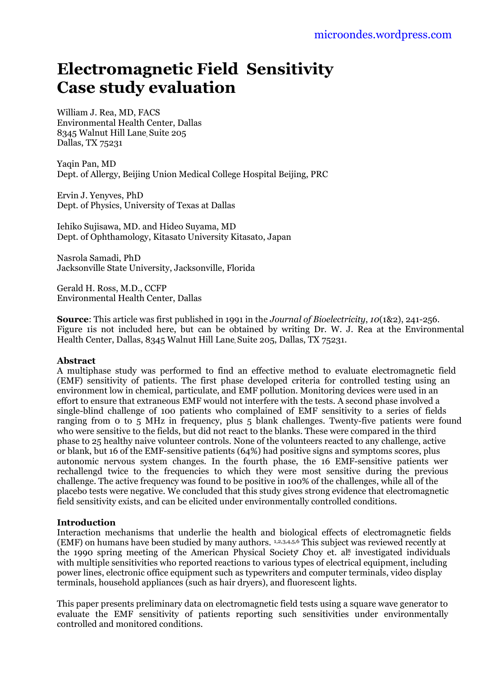## **Electromagnetic Field Sensitivity Case study evaluation**

William J. Rea, MD, FACS Environmental Health Center, Dallas 8345 Walnut Hill Lane, Suite 205 Dallas, TX 75231

Yaqin Pan, MD Dept. of Allergy, Beijing Union Medical College Hospital Beijing, PRC

Ervin J. Yenyves, PhD Dept. of Physics, University of Texas at Dallas

Iehiko Sujisawa, MD. and Hideo Suyama, MD Dept. of Ophthamology, Kitasato University Kitasato, Japan

Nasrola Samadi, PhD Jacksonville State University, Jacksonville, Florida

Gerald H. Ross, M.D., CCFP Environmental Health Center, Dallas

**Source**: This article was first published in 1991 in the *Journal of Bioelectricity*, *10*(1&2), 241-256. Figure 1 is not included here, but can be obtained by writing Dr. W. J. Rea at the Environmental Health Center, Dallas, 8345 Walnut Hill Lane, Suite 205, Dallas, TX 75231.

#### **Abstract**

A multiphase study was performed to find an effective method to evaluate electromagnetic field (EMF) sensitivity of patients. The first phase developed criteria for controlled testing using an environment low in chemical, particulate, and EMF pollution. Monitoring devices were used in an effort to ensure that extraneous EMF would not interfere with the tests. A second phase involved a single-blind challenge of 100 patients who complained of EMF sensitivity to a series of fields ranging from 0 to 5 MHz in frequency, plus 5 blank challenges. Twenty-five patients were found who were sensitive to the fields, but did not react to the blanks. These were compared in the third phase to 25 healthy naive volunteer controls. None of the volunteers reacted to any challenge, active or blank, but 16 of the EMF-sensitive patients (64%) had positive signs and symptoms scores, plus autonomic nervous system changes. In the fourth phase, the 16 EMF-sensitive patients wer rechallengd twice to the frequencies to which they were most sensitive during the previous challenge. The active frequency was found to be positive in 100% of the challenges, while all of the placebo tests were negative. We concluded that this study gives strong evidence that electromagnetic field sensitivity exists, and can be elicited under environmentally controlled conditions.

#### **Introduction**

Interaction mechanisms that underlie the health and biological effects of electromagnetic fields (EMF) on humans have been studied by many authors. 1,2,3,4,5,6 This subject was reviewed recently at the 1990 spring meeting of the American Physical Society Choy et. als investigated individuals with multiple sensitivities who reported reactions to various types of electrical equipment, including power lines, electronic office equipment such as typewriters and computer terminals, video display terminals, household appliances (such as hair dryers), and fluorescent lights.

This paper presents preliminary data on electromagnetic field tests using a square wave generator to evaluate the EMF sensitivity of patients reporting such sensitivities under environmentally controlled and monitored conditions.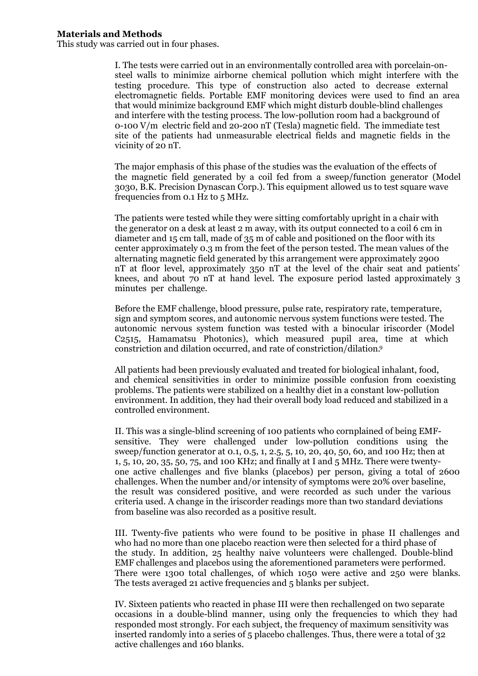#### **Materials and Methods**

This study was carried out in four phases.

I. The tests were carried out in an environmentally controlled area with porcelain-onsteel walls to minimize airborne chemical pollution which might interfere with the testing procedure. This type of construction also acted to decrease external electromagnetic fields. Portable EMF monitoring devices were used to find an area that would minimize background EMF which might disturb double-blind challenges and interfere with the testing process. The low-pollution room had a background of 0-100 V/m electric field and 20-200 nT (Tesla) magnetic field. The immediate test site of the patients had unmeasurable electrical fields and magnetic fields in the vicinity of 20 nT.

The major emphasis of this phase of the studies was the evaluation of the effects of the magnetic field generated by a coil fed from a sweep/function generator (Model 3030, B.K. Precision Dynascan Corp.). This equipment allowed us to test square wave frequencies from 0.1 Hz to 5 MHz.

The patients were tested while they were sitting comfortably upright in a chair with the generator on a desk at least 2 m away, with its output connected to a coil 6 cm in diameter and 15 cm tall, made of 35 m of cable and positioned on the floor with its center approximately 0.3 m from the feet of the person tested. The mean values of the alternating magnetic field generated by this arrangement were approximately 2900 nT at floor level, approximately 350 nT at the level of the chair seat and patients' knees, and about 70 nT at hand level. The exposure period lasted approximately 3 minutes per challenge. .

Before the EMF challenge, blood pressure, pulse rate, respiratory rate, temperature, sign and symptom scores, and autonomic nervous system functions were tested. The autonomic nervous system function was tested with a binocular iriscorder (Model C2515, Hamamatsu Photonics), which measured pupil area, time at which constriction and dilation occurred, and rate of constriction/dilation.<sup>9</sup>

All patients had been previously evaluated and treated for biological inhalant, food, and chemical sensitivities in order to minimize possible confusion from coexisting problems. The patients were stabilized on a healthy diet in a constant low-pollution environment. In addition, they had their overall body load reduced and stabilized in a controlled environment.

II. This was a single-blind screening of 100 patients who cornplained of being EMFsensitive. They were challenged under low-pollution conditions using the sweep/function generator at 0.1, 0.5, 1, 2.5, 5, 10, 20, 40, 50, 60, and 100 Hz; then at 1, 5, 10, 20, 35, 50, 75, and 100 KHz; and finally at I and 5 MHz. There were twentyone active challenges and five blanks (placebos) per person, giving a total of 2600 challenges. When the number and/or intensity of symptoms were 20% over baseline, the result was considered positive, and were recorded as such under the various criteria used. A change in the iriscorder readings more than two standard deviations from baseline was also recorded as a positive result.

III. Twenty-five patients who were found to be positive in phase II challenges and who had no more than one placebo reaction were then selected for a third phase of the study. In addition, 25 healthy naive volunteers were challenged. Double-blind EMF challenges and placebos using the aforementioned parameters were performed. There were 1300 total challenges, of which 1050 were active and 250 were blanks. The tests averaged 21 active frequencies and 5 blanks per subject.

IV. Sixteen patients who reacted in phase III were then rechallenged on two separate occasions in a double-blind manner, using only the frequencies to which they had responded most strongly. For each subject, the frequency of maximum sensitivity was inserted randomly into a series of 5 placebo challenges. Thus, there were a total of 32 active challenges and 160 blanks.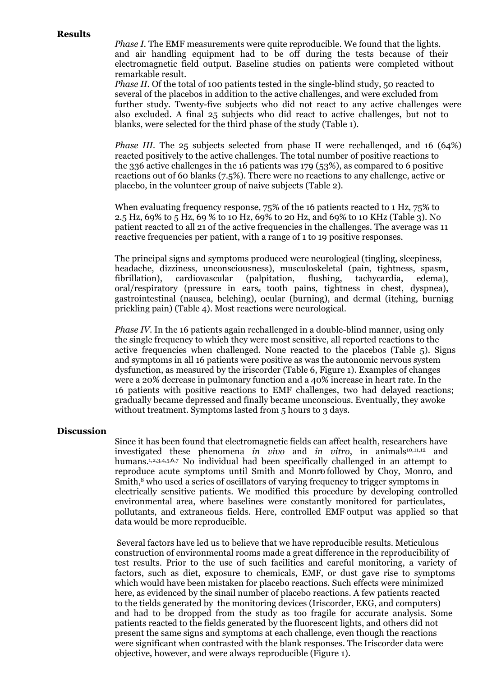#### **Results**

*Phase I.* The EMF measurements were quite reproducible. We found that the lights. and air handling equipment had to be off during the tests because of their electromagnetic field output. Baseline studies on patients were completed without remarkable result.

*Phase II.* Of the total of 100 patients tested in the single-blind study, 50 reacted to several of the placebos in addition to the active challenges, and were excluded from further study. Twenty-five subjects who did not react to any active challenges were also excluded. A final 25 subjects who did react to active challenges, but not to blanks, were selected for the third phase of the study (Table 1).

*Phase III.* The 25 subjects selected from phase II were rechallenged, and 16 (64%) reacted positively to the active challenges. The total number of positive reactions to the 336 active challenges in the 16 patients was 179 (53%), as compared to 6 positive reactions out of 60 blanks (7.5%). There were no reactions to any challenge, active or placebo, in the volunteer group of naive subjects (Table 2).

When evaluating frequency response, 75% of the 16 patients reacted to 1 Hz, 75% to 2.5 Hz, 69% to 5 Hz, 69 % to 10 Hz, 69% to 20 Hz, and 69% to 10 KHz (Table 3). No patient reacted to all 21 of the active frequencies in the challenges. The average was 11 reactive frequencies per patient, with a range of 1 to 19 positive responses.

The principal signs and symptoms produced were neurological (tingling, sleepiness, headache, dizziness, unconsciousness), musculoskeletal (pain, tightness, spasm, fibrillation), cardiovascular (palpitation, flushing, tachycardia, edema), oral/respiratory (pressure in ears, tooth pains, tightness in chest, dyspnea), gastrointestinal (nausea, belching), ocular (burning), and dermal (itching, burning<sup>5</sup> prickling pain) (Table 4). Most reactions were neurological.

*Phase IV*. In the 16 patients again rechallenged in a double-blind manner, using only the single frequency to which they were most sensitive, all reported reactions to the active frequencies when challenged. None reacted to the placebos (Table 5). Signs and symptoms in all 16 patients were positive as was the autonomic nervous system dysfunction, as measured by the iriscorder (Table 6, Figure 1). Examples of changes were a 20% decrease in pulmonary function and a 40% increase in heart rate. In the 16 patients with positive reactions to EMF challenges, two had delayed reactions; gradually became depressed and finally became unconscious. Eventually, they awoke without treatment. Symptoms lasted from 5 hours to 3 days.

#### **Discussion**

Since it has been found that electromagnetic fields can affect health, researchers have investigated these phenomena *in vivo* and *in vitro*, in animals<sup>10,11,12</sup> and humans.<sup>1,2,3,4,5,6,7</sup> No individual had been specifically challenged in an attempt to reproduce acute symptoms until Smith and Monro followed by Choy, Monro, and Smith,<sup>8</sup> who used a series of oscillators of varying frequency to trigger symptoms in electrically sensitive patients. We modified this procedure by developing controlled environmental area, where baselines were constantly monitored for particulates, pollutants, and extraneous fields. Here, controlled EMF output was applied so that data would be more reproducible.

Several factors have led us to believe that we have reproducible results. Meticulous construction of environmental rooms made a great difference in the reproducibility of test results. Prior to the use of such facilities and careful monitoring, a variety of factors, such as diet, exposure to chemicals, EMF, or dust gave rise to symptoms which would have been mistaken for placebo reactions. Such effects were minimized here, as evidenced by the sinail number of placebo reactions. A few patients reacted to the tields generated by the monitoring devices (Iriscorder, EKG, and computers) and had to be dropped from the study as too fragile for accurate analysis. Some patients reacted to the fields generated by the fluorescent lights, and others did not present the same signs and symptoms at each challenge, even though the reactions were significant when contrasted with the blank responses. The Iriscorder data were objective, however, and were always reproducible (Figure 1).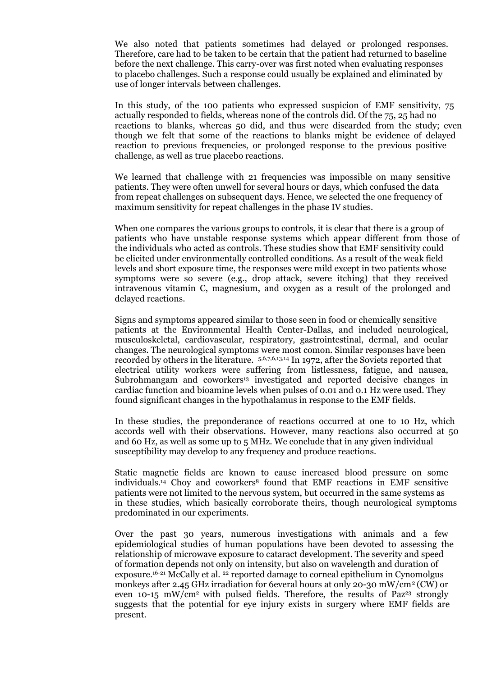We also noted that patients sometimes had delayed or prolonged responses. Therefore, care had to be taken to be certain that the patient had returned to baseline before the next challenge. This carry-over was first noted when evaluating responses to placebo challenges. Such a response could usually be explained and eliminated by use of longer intervals between challenges.

In this study, of the 100 patients who expressed suspicion of EMF sensitivity, 75 actually responded to fields, whereas none of the controls did. Of the 75, 25 had no reactions to blanks, whereas 50 did, and thus were discarded from the study; even though we felt that some of the reactions to blanks might be evidence of delayed reaction to previous frequencies, or prolonged response to the previous positive challenge, as well as true placebo reactions.

We learned that challenge with 21 frequencies was impossible on many sensitive patients. They were often unwell for several hours or days, which confused the data from repeat challenges on subsequent days. Hence, we selected the one frequency of maximum sensitivity for repeat challenges in the phase IV studies.

When one compares the various groups to controls, it is clear that there is a group of patients who have unstable response systems which appear different from those of the individuals who acted as controls. These studies show that EMF sensitivity could be elicited under environmentally controlled conditions. As a result of the weak field levels and short exposure time, the responses were mild except in two patients whose symptoms were so severe (e.g., drop attack, severe itching) that they received intravenous vitamin C, magnesium, and oxygen as a result of the prolonged and delayed reactions.

Signs and symptoms appeared similar to those seen in food or chemically sensitive patients at the Environmental Health Center-Dallas, and included neurological, musculoskeletal, cardiovascular, respiratory, gastrointestinal, dermal, and ocular changes. The neurological symptoms were most comon. Similar responses have been recorded by others in the literature. 5,6,7,6,13,14 In 1972, after the Soviets reported that electrical utility workers were suffering from listlessness, fatigue, and nausea, Subrohmangam and coworkers<sup>13</sup> investigated and reported decisive changes in cardiac function and bioamine levels when pulses of 0.01 and 0.1 Hz were used. They found significant changes in the hypothalamus in response to the EMF fields.

In these studies, the preponderance of reactions occurred at one to 10 Hz, which accords well with their observations. However, many reactions also occurred at 50 and 60 Hz, as well as some up to 5 MHz. We conclude that in any given individual susceptibility may develop to any frequency and produce reactions.

Static magnetic fields are known to cause increased blood pressure on some individuals.<sup>14</sup> Choy and coworkers<sup>8</sup> found that EMF reactions in EMF sensitive patients were not limited to the nervous system, but occurred in the same systems as in these studies, which basically corroborate theirs, though neurological symptoms predominated in our experiments.

Over the past 30 years, numerous investigations with animals and a few epidemiological studies of human populations have been devoted to assessing the relationship of microwave exposure to cataract development. The severity and speed of formation depends not only on intensity, but also on wavelength and duration of exposure.16-21 McCally et al. <sup>22</sup> reported damage to corneal epithelium in Cynomolgus monkeys after 2.45 GHz irradiation for 6everal hours at only 20-30 mW/cm<sup>2</sup> (CW) or even 10-15 mW/cm<sup>2</sup> with pulsed fields. Therefore, the results of Paz<sup>23</sup> strongly suggests that the potential for eye injury exists in surgery where EMF fields are present.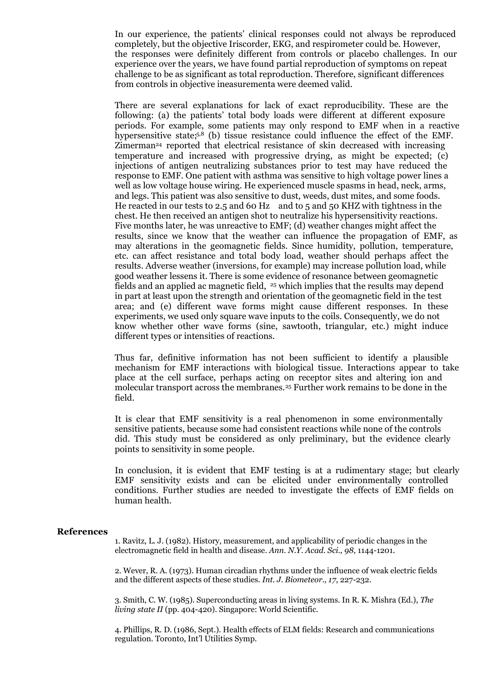In our experience, the patients' clinical responses could not always be reproduced completely, but the objective Iriscorder, EKG, and respirometer could be. However, the responses were definitely different from controls or placebo challenges. In our experience over the years, we have found partial reproduction of symptoms on repeat challenge to be as significant as total reproduction. Therefore, significant differences from controls in objective ineasurementa were deemed valid.

There are several explanations for lack of exact reproducibility. These are the following: (a) the patients' total body loads were different at different exposure periods. For example, some patients may only respond to EMF when in a reactive hypersensitive state;<sup>5,8</sup> (b) tissue resistance could influence the effect of the EMF. Zimerman<sup>24</sup> reported that electrical resistance of skin decreased with increasing temperature and increased with progressive drying, as might be expected; (c) injections of antigen neutralizing substances prior to test may have reduced the response to EMF. One patient with asthma was sensitive to high voltage power lines a well as low voltage house wiring. He experienced muscle spasms in head, neck, arms, and legs. This patient was also sensitive to dust, weeds, dust mites, and some foods. He reacted in our tests to 2.5 and 60 Hz and to 5 and 50 KHZ with tightness in the chest. He then received an antigen shot to neutralize his hypersensitivity reactions. Five months later, he was unreactive to EMF; (d) weather changes might affect the results, since we know that the weather can influence the propagation of EMF, as may alterations in the geomagnetic fields. Since humidity, pollution, temperature, etc. can affect resistance and total body load, weather should perhaps affect the results. Adverse weather (inversions, for example) may increase pollution load, while good weather lessens it. There is some evidence of resonance between geomagnetic fields and an applied ac magnetic field, <sup>25</sup> which implies that the results may depend in part at least upon the strength and orientation of the geomagnetic field in the test area; and (e) different wave forms might cause different responses. In these experiments, we used only square wave inputs to the coils. Consequently, we do not know whether other wave forms (sine, sawtooth, triangular, etc.) might induce different types or intensities of reactions.

Thus far, definitive information has not been sufficient to identify a plausible mechanism for EMF interactions with biological tissue. Interactions appear to take place at the cell surface, perhaps acting on receptor sites and altering ion and molecular transport across the membranes.<sup>25</sup> Further work remains to be done in the field.

It is clear that EMF sensitivity is a real phenomenon in some environmentally sensitive patients, because some had consistent reactions while none of the controls did. This study must be considered as only preliminary, but the evidence clearly points to sensitivity in some people.

In conclusion, it is evident that EMF testing is at a rudimentary stage; but clearly EMF sensitivity exists and can be elicited under environmentally controlled conditions. Further studies are needed to investigate the effects of EMF fields on human health.

#### **References**

1. Ravitz, L. J. (1982). History, measurement, and applicability of periodic changes in the electromagnetic field in health and disease. *Ann. N.Y. Acad. Sci., 98*, 1144-1201.

2. Wever, R. A. (1973). Human circadian rhythms under the influence of weak electric fields and the different aspects of these studies. *Int. J. Biometeor., 17*, 227-232.

3. Smith, C. W. (1985). Superconducting areas in living systems. In R. K. Mishra (Ed.), *The living state II* (pp. 404-420). Singapore: World Scientific.

4. Phillips, R. D. (1986, Sept.). Health effects of ELM fields: Research and communications regulation. Toronto, Int'l Utilities Symp.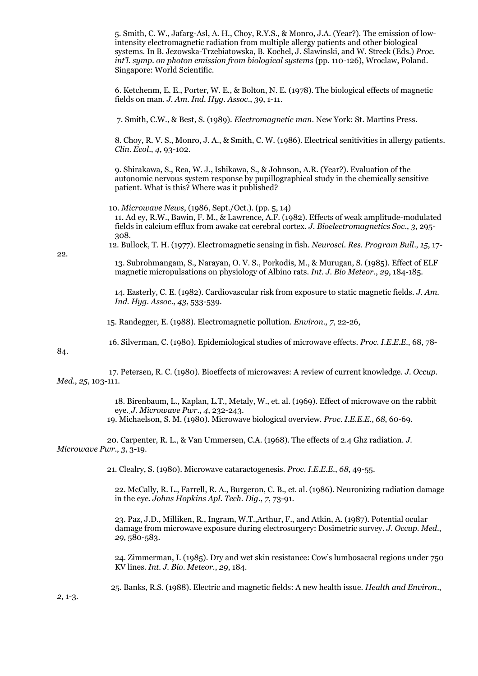|                    | 5. Smith, C. W., Jafarg-Asl, A. H., Choy, R.Y.S., & Monro, J.A. (Year?). The emission of low-<br>intensity electromagnetic radiation from multiple allergy patients and other biological<br>systems. In B. Jezowska-Trzebiatowska, B. Kochel, J. Slawinski, and W. Streck (Eds.) Proc.<br>int'l. symp. on photon emission from biological systems (pp. 110-126), Wroclaw, Poland.<br>Singapore: World Scientific. |
|--------------------|-------------------------------------------------------------------------------------------------------------------------------------------------------------------------------------------------------------------------------------------------------------------------------------------------------------------------------------------------------------------------------------------------------------------|
|                    | 6. Ketchenm, E. E., Porter, W. E., & Bolton, N. E. (1978). The biological effects of magnetic<br>fields on man. J. Am. Ind. Hyg. Assoc., 39, 1-11.                                                                                                                                                                                                                                                                |
|                    | 7. Smith, C.W., & Best, S. (1989). <i>Electromagnetic man</i> . New York: St. Martins Press.                                                                                                                                                                                                                                                                                                                      |
|                    | 8. Choy, R. V. S., Monro, J. A., & Smith, C. W. (1986). Electrical senitivities in allergy patients.<br>Clin. Ecol., 4, 93-102.                                                                                                                                                                                                                                                                                   |
|                    | 9. Shirakawa, S., Rea, W. J., Ishikawa, S., & Johnson, A.R. (Year?). Evaluation of the<br>autonomic nervous system response by pupillographical study in the chemically sensitive<br>patient. What is this? Where was it published?                                                                                                                                                                               |
|                    | 10. Microwave News, (1986, Sept./Oct.). (pp. 5, 14)<br>11. Ad ey, R.W., Bawin, F. M., & Lawrence, A.F. (1982). Effects of weak amplitude-modulated<br>fields in calcium efflux from awake cat cerebral cortex. J. Bioelectromagnetics Soc., 3, 295-<br>308.                                                                                                                                                       |
| 22.                | 12. Bullock, T. H. (1977). Electromagnetic sensing in fish. Neurosci. Res. Program Bull., 15, 17-                                                                                                                                                                                                                                                                                                                 |
|                    | 13. Subrohmangam, S., Narayan, O. V. S., Porkodis, M., & Murugan, S. (1985). Effect of ELF<br>magnetic micropulsations on physiology of Albino rats. <i>Int. J. Bio Meteor.</i> , 29, 184-185.                                                                                                                                                                                                                    |
|                    | 14. Easterly, C. E. (1982). Cardiovascular risk from exposure to static magnetic fields. J. Am.<br>Ind. Hyg. Assoc., 43, 533-539.                                                                                                                                                                                                                                                                                 |
|                    | 15. Randegger, E. (1988). Electromagnetic pollution. Environ., 7, 22-26,                                                                                                                                                                                                                                                                                                                                          |
| 84.                | 16. Silverman, C. (1980). Epidemiological studies of microwave effects. Proc. I.E.E.E., 68, 78-                                                                                                                                                                                                                                                                                                                   |
| Med., 25, 103-111. | 17. Petersen, R. C. (1980). Bioeffects of microwaves: A review of current knowledge. J. Occup.                                                                                                                                                                                                                                                                                                                    |
|                    | 18. Birenbaum, L., Kaplan, L.T., Metaly, W., et. al. (1969). Effect of microwave on the rabbit<br>eye. J. Microwave Pwr., 4, 232-243.<br>19. Michaelson, S. M. (1980). Microwave biological overview. Proc. I.E.E.E., 68, 60-69.                                                                                                                                                                                  |
|                    |                                                                                                                                                                                                                                                                                                                                                                                                                   |

 20. Carpenter, R. L., & Van Ummersen, C.A. (1968). The effects of 2.4 Ghz radiation. *J. Microwave Pwr*., *3*, 3-19.

21. Clealry, S. (1980). Microwave cataractogenesis. *Proc. I.E.E.E.*, *68*, 49-55.

22. McCally, R. L., Farrell, R. A., Burgeron, C. B., et. al. (1986). Neuronizing radiation damage in the eye. *Johns Hopkins Apl. Tech. Dig*., *7*, 73-91.

23. Paz, J.D., Milliken, R., Ingram, W.T.,Arthur, F., and Atkin, A. (1987). Potential ocular damage from microwave exposure during electrosurgery: Dosimetric survey. *J. Occup. Med*., *29*, 580-583.

24. Zimmerman, I. (1985). Dry and wet skin resistance: Cow's lumbosacral regions under 750 KV lines. *Int. J. Bio. Meteor.*, *29*, 184.

25. Banks, R.S. (1988). Electric and magnetic fields: A new health issue. *Health and Environ*.,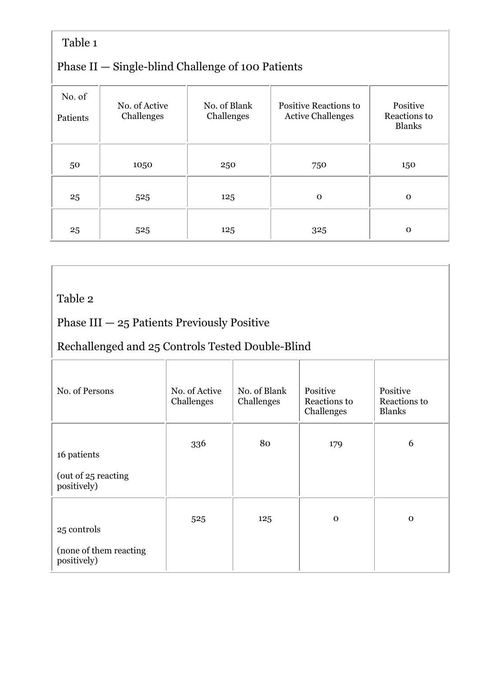## Table 1

## Phase II — Single-blind Challenge of 100 Patients

| No. of<br>Patients | No. of Active<br>Challenges | No. of Blank<br>Challenges | <b>Positive Reactions to</b><br><b>Active Challenges</b> | Positive<br><b>Reactions to</b><br><b>Blanks</b> |
|--------------------|-----------------------------|----------------------------|----------------------------------------------------------|--------------------------------------------------|
| 50                 | 1050                        | 250                        | 750                                                      | 150                                              |
| 25                 | 525                         | 125                        | $\mathbf 0$                                              | $\mathbf 0$                                      |
| 25                 | 525                         | 125                        | 325                                                      | $\mathbf 0$                                      |

## Table 2

### Phase III — 25 Patients Previously Positive

### Rechallenged and 25 Controls Tested Double-Blind

| No. of Persons                                        | No. of Active<br>Challenges | No. of Blank<br>Challenges | Positive<br>Reactions to<br>Challenges | Positive<br>Reactions to<br><b>Blanks</b> |
|-------------------------------------------------------|-----------------------------|----------------------------|----------------------------------------|-------------------------------------------|
| 16 patients<br>(out of 25 reacting<br>positively)     | 336                         | 80                         | 179                                    | 6                                         |
| 25 controls<br>(none of them reacting)<br>positively) | 525                         | 125                        | $\mathbf 0$                            | $\mathbf 0$                               |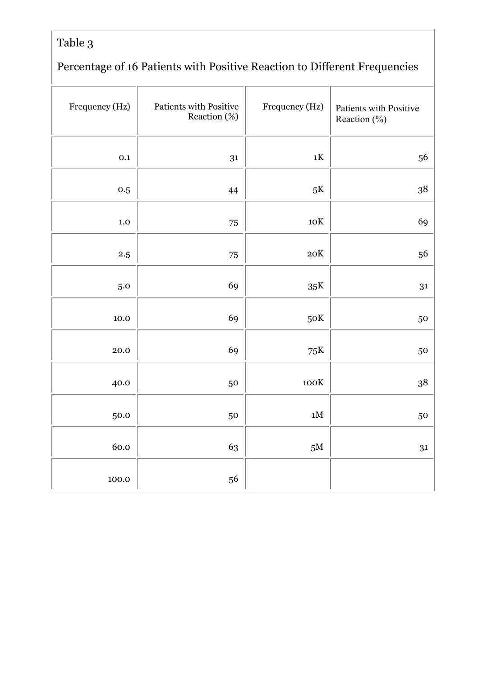## Table 3

## Percentage of 16 Patients with Positive Reaction to Different Frequencies

| Frequency (Hz) | <b>Patients with Positive</b><br>Reaction (%) | Frequency (Hz)  | Patients with Positive<br>Reaction (%) |
|----------------|-----------------------------------------------|-----------------|----------------------------------------|
| 0.1            | 31                                            | $1\mathrm{K}$   | 56                                     |
| 0.5            | 44                                            | $5K$            | 38                                     |
| $1.0\,$        | 75                                            | $10\mathrm{K}$  | 69                                     |
| 2.5            | 75                                            | $20\mathrm{K}$  | 56                                     |
| 5.0            | 69                                            | 35K             | 31                                     |
| $10.0\,$       | 69                                            | 50K             | 50                                     |
| $20.0\,$       | 69                                            | 75K             | 50                                     |
| 40.0           | 50                                            | $100\mathrm{K}$ | 38                                     |
| 50.0           | 50                                            | $1\mathrm{M}$   | 50                                     |
| 60.0           | 63                                            | $5\mathrm{M}$   | 31                                     |
| $100.0\,$      | 56                                            |                 |                                        |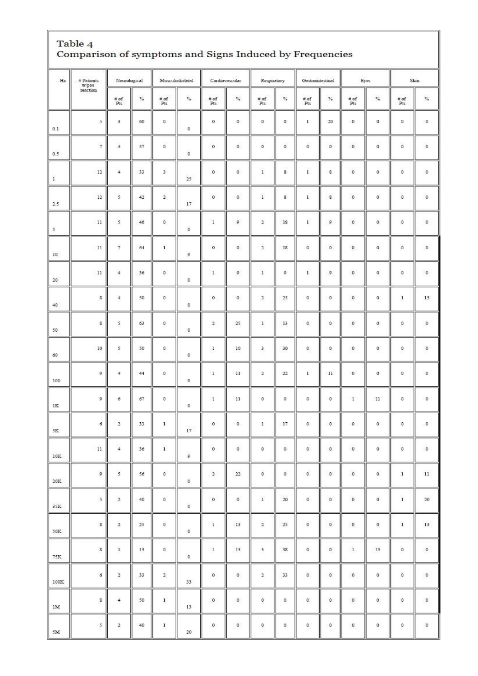# Table 4  $\,$  Comparison of symptoms and Signs Induced by Frequencies

| Hz              | # Patients        |                         | Neurological | Musculoskeletal<br>Cardiovascular |             |               | Respiratory |                         | Gastrointestinal    |                    | Eyes         |                | Skin         |                |              |
|-----------------|-------------------|-------------------------|--------------|-----------------------------------|-------------|---------------|-------------|-------------------------|---------------------|--------------------|--------------|----------------|--------------|----------------|--------------|
|                 | wipos<br>reaction | # of<br>Pts             | $\%$         | $\#$ of<br>Pts                    | $\gamma_a$  | # of<br>Pts   | $\%$        | # of<br>Pts             | $\%$                | # of<br>Pts        | $\%$         | $\#$ of<br>Pts | $\%$         | $\#$ of<br>Pts | $\%$         |
| 0.1             | $\overline{5}$    | з                       | 60           | $\circ$                           | 0           | 0             | 0           | $\circ$                 | $\circ$             | $1^{\circ}$        | 20           | 0              | 0            | о              | 0            |
| 0.5             | $\overline{7}$    | $\ddot{ }$              | 57           | 0                                 | $\mathbf 0$ | $\mathbf 0$   | ٥           | 0                       | 0                   | 0                  | $\circ$      | $\circ$        | 0            | $\circ$        | $\circ$      |
| ï               | 12                | $\overline{4}$          | 33           | $\overline{\mathbf{3}}$           | 25          | $\circ$       | $\circ$     | $\,$ 1                  | 8                   | $\bar{\mathbf{1}}$ | s            | $\circ$        | 0            | $\mathfrak o$  | $\circ$      |
| 2.5             | 12                | 5                       | 42           | $\mathbf 2$                       | 17          | $\mathfrak o$ | 0           | $1\,$                   | 8                   | $\bf{1}$           | $\mathbf{S}$ | o              | 0            | O.             | $\circ$      |
| 5               | 11                | 5                       | 46           | o                                 | $\circ$     | 1             | 9           | $\overline{\mathbf{2}}$ | 18                  | $\bf{l}$           | 9            | $\mathbb O$    | $\circ$      | o              | $\circ$      |
| 10              | 11                | $\tau$                  | 64           | $\bf{1}$                          | $\dot{9}$   | $\circ$       | 0           | $\mathbf{2}$            | 18                  | O.                 | $\mathbb O$  | $\mathsf{o}$   | o            | o              | $\circ$      |
| 20 <sub>2</sub> | 11                | $\overline{4}$          | 36           | $\circ$                           | $\circ$     | 1             | 9           | $1\,$                   | 9                   | $\bf{1}$           | 9            | $\circ$        | $\circ$      | $\circ$        | $\circ$      |
| 40              | $\mathbf S$       | $\overline{4}$          | 50           | $\circ$                           | $\mathbf 0$ | $\mathbf 0$   | 0           | $\overline{2}$          | 25                  | 0                  | $\circ$      | $\mathbb O$    | 0            | $\,1$          | 13           |
| 50              | s                 | 5                       | 63           | $\alpha$                          | $\circ$     | $\mathbf 2$   | 25.         | $\mathbf{I}$            | 13                  | 0                  | 0.           | $\circ$        | $\mathbf{0}$ | $\alpha$       | $\mathbb{O}$ |
| 60              | 10                | 5                       | 50           | $\mathbf{0}$                      | $\circ$     | $\mathbf{1}$  | 10          | 3                       | 30                  | 0                  | $\circ$      | $\mathbb{O}$   | 0            | $\circ$        | $\circ$      |
| 100             | 9                 | 4                       | 44           | $\circ$                           | $\circ$     | 1             | $_{11}$     | $\mathbf{2}$            | 22                  | $\mathbf{1}$       | 11           | $\circ$        | 0            | 0              | 0            |
| ìK.             | $\circ$           | 6                       | 67           | $\circ$                           | 0           | 1             | $_{11}$     | $\circ$                 | 0                   | 0                  | $\circ$      | $1^{\circ}$    | 11           | 0              | $\circ$      |
| 5K              | $\sigma$          | $\overline{2}$          | 33           | $1^\circ$                         | 17          | $\mathbf{0}$  | $\theta$    | Œ.                      | $17\,$              | 0                  | 0            | 0              | $\mathbf 0$  | 0              | $\circ$      |
| 10K             | 11                | $\overline{4}$          | 36           | $\mathbf 1$                       | 9           | $\circ$       | $\circ$     | $\mathfrak o$           | $\ddot{\mathbf{0}}$ | $\circ$            | $\mathbb O$  | $\mathbb O$    | $\circ$      | $\circ$        | $\circ$      |
| 20K             | 9                 | 5                       | 56           | 0                                 | $\mathbf 0$ | $\mathbf{2}$  | 22          | $\circ$                 | 0                   | o                  | $\mathbb O$  | $\circ$        | 0            | $\mathbf 1$    | $11\,$       |
| 35K             | 5                 | $\mathbf{2}$            | 40           | 0                                 | $\mathbb O$ | $\circ$       | $\circ$     | $\mathbf{1}$            | 20                  | 0                  | $\mathbb O$  | $\circ$        | 0            | $\bf{l}$       | 20           |
| 50K             | $\mathbb S$       | $\overline{\mathbf{c}}$ | 25           | ٥                                 | $\mathbb O$ | $\mathbf 1$   | 13          | $\mathbf{2}$            | 25                  | O.                 | $\mathbb O$  | $\mathfrak o$  | $\circ$      | $\,1$          | 13           |
| 75K             | $\mathbf s$       | $\mathbf 1$             | 13           | $\circ$                           | $\mathbb O$ | $\bf 1$       | 13          | $\mathbf{3}$            | 38                  | 0                  | $\mathbb O$  | $1\,$          | 13           | $\mathbb O$    | $\circ$      |
| 100K            | 6                 | $\mathfrak{1}$          | 33           | $\overline{2}$                    | 33          | $\mathbf 0$   | $\circ$     | $\mathfrak{D}$          | 33                  | 0                  | $\circ$      | $\circ$        | o            | $\circ$        | $\circ$      |
| 1M              | s                 | $\overline{4}$          | 50           | $\mathbf{1}$                      | $13 -$      | o             | $\circ$     | $\circ$                 | o                   | 0                  | $\mathbb O$  | $\mathbb O$    | $\mathbf{0}$ | $\mathfrak{0}$ | $\mathbb O$  |
| 5M              | 5                 | $\mathbf 2$             | 40           | $\bf{1}$                          | 20          | $\mathbf 0$   | $\circ$     | $\mathbb O$             | 0                   | 0                  | $\circ$      | $\mathbb O$    | 0            | $\circ$        | $\circ$      |